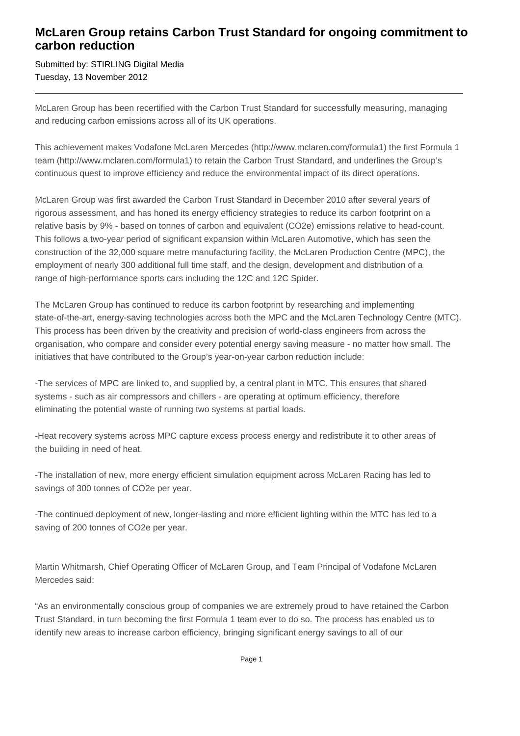## **McLaren Group retains Carbon Trust Standard for ongoing commitment to carbon reduction**

Submitted by: STIRLING Digital Media Tuesday, 13 November 2012

McLaren Group has been recertified with the Carbon Trust Standard for successfully measuring, managing and reducing carbon emissions across all of its UK operations.

This achievement makes Vodafone McLaren Mercedes (http://www.mclaren.com/formula1) the first Formula 1 team (http://www.mclaren.com/formula1) to retain the Carbon Trust Standard, and underlines the Group's continuous quest to improve efficiency and reduce the environmental impact of its direct operations.

McLaren Group was first awarded the Carbon Trust Standard in December 2010 after several years of rigorous assessment, and has honed its energy efficiency strategies to reduce its carbon footprint on a relative basis by 9% - based on tonnes of carbon and equivalent (CO2e) emissions relative to head-count. This follows a two-year period of significant expansion within McLaren Automotive, which has seen the construction of the 32,000 square metre manufacturing facility, the McLaren Production Centre (MPC), the employment of nearly 300 additional full time staff, and the design, development and distribution of a range of high-performance sports cars including the 12C and 12C Spider.

The McLaren Group has continued to reduce its carbon footprint by researching and implementing state-of-the-art, energy-saving technologies across both the MPC and the McLaren Technology Centre (MTC). This process has been driven by the creativity and precision of world-class engineers from across the organisation, who compare and consider every potential energy saving measure - no matter how small. The initiatives that have contributed to the Group's year-on-year carbon reduction include:

- The services of MPC are linked to, and supplied by, a central plant in MTC. This ensures that shared systems - such as air compressors and chillers - are operating at optimum efficiency, therefore eliminating the potential waste of running two systems at partial loads.

- Heat recovery systems across MPC capture excess process energy and redistribute it to other areas of the building in need of heat.

- The installation of new, more energy efficient simulation equipment across McLaren Racing has led to savings of 300 tonnes of CO2e per year.

- The continued deployment of new, longer-lasting and more efficient lighting within the MTC has led to a saving of 200 tonnes of CO2e per year.

Martin Whitmarsh, Chief Operating Officer of McLaren Group, and Team Principal of Vodafone McLaren Mercedes said:

"As an environmentally conscious group of companies we are extremely proud to have retained the Carbon Trust Standard, in turn becoming the first Formula 1 team ever to do so. The process has enabled us to identify new areas to increase carbon efficiency, bringing significant energy savings to all of our